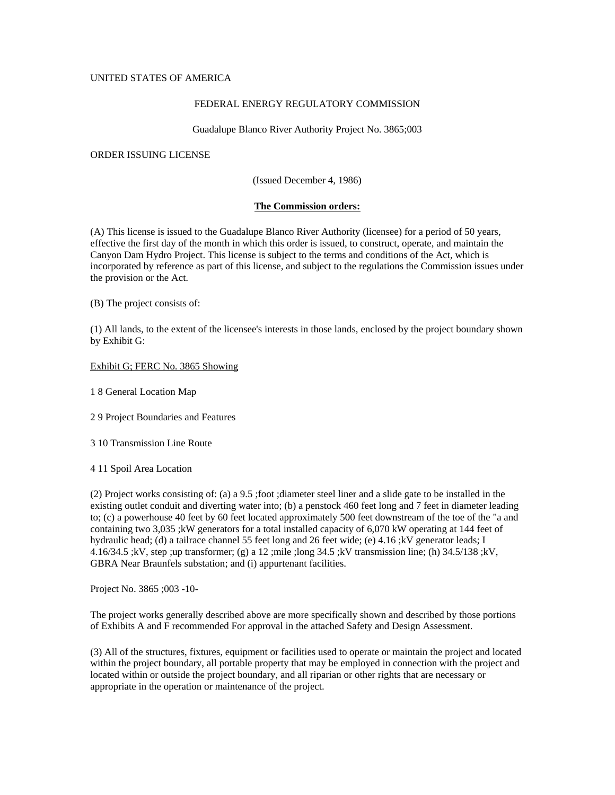# UNITED STATES OF AMERICA

## FEDERAL ENERGY REGULATORY COMMISSION

Guadalupe Blanco River Authority Project No. 3865;003

## ORDER ISSUING LICENSE

(Issued December 4, 1986)

## **The Commission orders:**

(A) This license is issued to the Guadalupe Blanco River Authority (licensee) for a period of 50 years, effective the first day of the month in which this order is issued, to construct, operate, and maintain the Canyon Dam Hydro Project. This license is subject to the terms and conditions of the Act, which is incorporated by reference as part of this license, and subject to the regulations the Commission issues under the provision or the Act.

(B) The project consists of:

(1) All lands, to the extent of the licensee's interests in those lands, enclosed by the project boundary shown by Exhibit G:

### Exhibit G; FERC No. 3865 Showing

1 8 General Location Map

2 9 Project Boundaries and Features

3 10 Transmission Line Route

4 11 Spoil Area Location

(2) Project works consisting of: (a) a 9.5 ;foot ;diameter steel liner and a slide gate to be installed in the existing outlet conduit and diverting water into; (b) a penstock 460 feet long and 7 feet in diameter leading to; (c) a powerhouse 40 feet by 60 feet located approximately 500 feet downstream of the toe of the "a and containing two 3,035 ;kW generators for a total installed capacity of 6,070 kW operating at 144 feet of hydraulic head; (d) a tailrace channel 55 feet long and 26 feet wide; (e) 4.16 ;kV generator leads; I 4.16/34.5 ;kV, step ;up transformer; (g) a 12 ;mile ;long 34.5 ;kV transmission line; (h) 34.5/138 ;kV, GBRA Near Braunfels substation; and (i) appurtenant facilities.

Project No. 3865 ;003 -10-

The project works generally described above are more specifically shown and described by those portions of Exhibits A and F recommended For approval in the attached Safety and Design Assessment.

(3) All of the structures, fixtures, equipment or facilities used to operate or maintain the project and located within the project boundary, all portable property that may be employed in connection with the project and located within or outside the project boundary, and all riparian or other rights that are necessary or appropriate in the operation or maintenance of the project.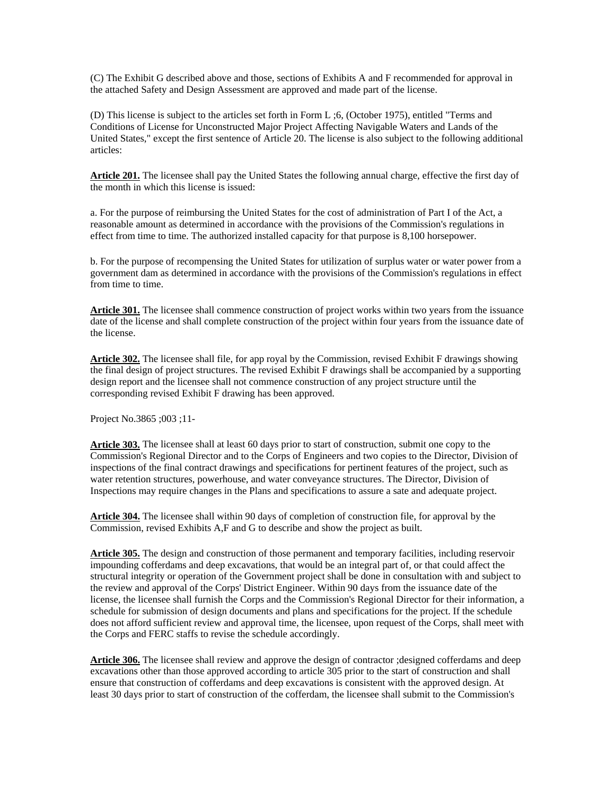(C) The Exhibit G described above and those, sections of Exhibits A and F recommended for approval in the attached Safety and Design Assessment are approved and made part of the license.

(D) This license is subject to the articles set forth in Form L ;6, (October 1975), entitled "Terms and Conditions of License for Unconstructed Major Project Affecting Navigable Waters and Lands of the United States," except the first sentence of Article 20. The license is also subject to the following additional articles:

**Article 201.** The licensee shall pay the United States the following annual charge, effective the first day of the month in which this license is issued:

a. For the purpose of reimbursing the United States for the cost of administration of Part I of the Act, a reasonable amount as determined in accordance with the provisions of the Commission's regulations in effect from time to time. The authorized installed capacity for that purpose is 8,100 horsepower.

b. For the purpose of recompensing the United States for utilization of surplus water or water power from a government dam as determined in accordance with the provisions of the Commission's regulations in effect from time to time.

**Article 301.** The licensee shall commence construction of project works within two years from the issuance date of the license and shall complete construction of the project within four years from the issuance date of the license.

**Article 302.** The licensee shall file, for app royal by the Commission, revised Exhibit F drawings showing the final design of project structures. The revised Exhibit F drawings shall be accompanied by a supporting design report and the licensee shall not commence construction of any project structure until the corresponding revised Exhibit F drawing has been approved.

Project No.3865 ;003 ;11-

**Article 303.** The licensee shall at least 60 days prior to start of construction, submit one copy to the Commission's Regional Director and to the Corps of Engineers and two copies to the Director, Division of inspections of the final contract drawings and specifications for pertinent features of the project, such as water retention structures, powerhouse, and water conveyance structures. The Director, Division of Inspections may require changes in the Plans and specifications to assure a sate and adequate project.

**Article 304.** The licensee shall within 90 days of completion of construction file, for approval by the Commission, revised Exhibits A,F and G to describe and show the project as built.

**Article 305.** The design and construction of those permanent and temporary facilities, including reservoir impounding cofferdams and deep excavations, that would be an integral part of, or that could affect the structural integrity or operation of the Government project shall be done in consultation with and subject to the review and approval of the Corps' District Engineer. Within 90 days from the issuance date of the license, the licensee shall furnish the Corps and the Commission's Regional Director for their information, a schedule for submission of design documents and plans and specifications for the project. If the schedule does not afford sufficient review and approval time, the licensee, upon request of the Corps, shall meet with the Corps and FERC staffs to revise the schedule accordingly.

**Article 306.** The licensee shall review and approve the design of contractor ;designed cofferdams and deep excavations other than those approved according to article 305 prior to the start of construction and shall ensure that construction of cofferdams and deep excavations is consistent with the approved design. At least 30 days prior to start of construction of the cofferdam, the licensee shall submit to the Commission's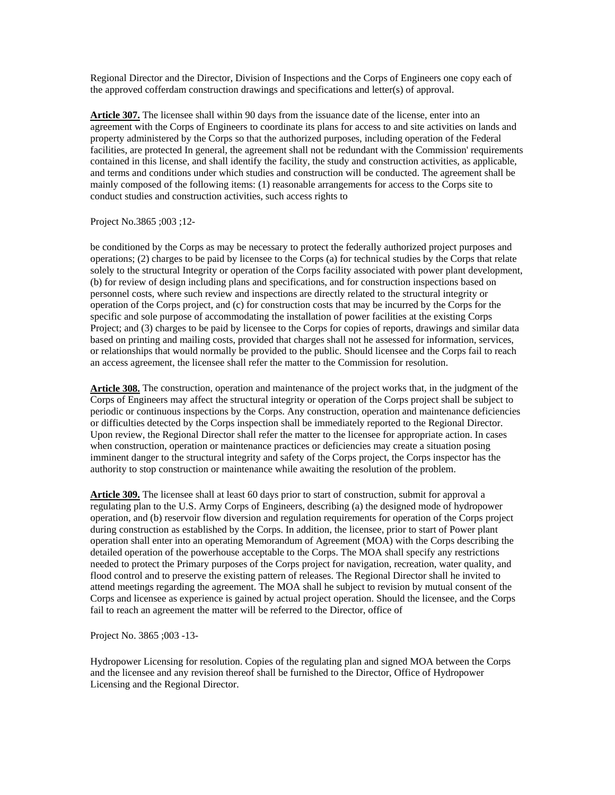Regional Director and the Director, Division of Inspections and the Corps of Engineers one copy each of the approved cofferdam construction drawings and specifications and letter(s) of approval.

**Article 307.** The licensee shall within 90 days from the issuance date of the license, enter into an agreement with the Corps of Engineers to coordinate its plans for access to and site activities on lands and property administered by the Corps so that the authorized purposes, including operation of the Federal facilities, are protected In general, the agreement shall not be redundant with the Commission' requirements contained in this license, and shall identify the facility, the study and construction activities, as applicable, and terms and conditions under which studies and construction will be conducted. The agreement shall be mainly composed of the following items: (1) reasonable arrangements for access to the Corps site to conduct studies and construction activities, such access rights to

#### Project No.3865 ;003 ;12-

be conditioned by the Corps as may be necessary to protect the federally authorized project purposes and operations; (2) charges to be paid by licensee to the Corps (a) for technical studies by the Corps that relate solely to the structural Integrity or operation of the Corps facility associated with power plant development, (b) for review of design including plans and specifications, and for construction inspections based on personnel costs, where such review and inspections are directly related to the structural integrity or operation of the Corps project, and (c) for construction costs that may be incurred by the Corps for the specific and sole purpose of accommodating the installation of power facilities at the existing Corps Project; and (3) charges to be paid by licensee to the Corps for copies of reports, drawings and similar data based on printing and mailing costs, provided that charges shall not he assessed for information, services, or relationships that would normally be provided to the public. Should licensee and the Corps fail to reach an access agreement, the licensee shall refer the matter to the Commission for resolution.

**Article 308.** The construction, operation and maintenance of the project works that, in the judgment of the Corps of Engineers may affect the structural integrity or operation of the Corps project shall be subject to periodic or continuous inspections by the Corps. Any construction, operation and maintenance deficiencies or difficulties detected by the Corps inspection shall be immediately reported to the Regional Director. Upon review, the Regional Director shall refer the matter to the licensee for appropriate action. In cases when construction, operation or maintenance practices or deficiencies may create a situation posing imminent danger to the structural integrity and safety of the Corps project, the Corps inspector has the authority to stop construction or maintenance while awaiting the resolution of the problem.

**Article 309.** The licensee shall at least 60 days prior to start of construction, submit for approval a regulating plan to the U.S. Army Corps of Engineers, describing (a) the designed mode of hydropower operation, and (b) reservoir flow diversion and regulation requirements for operation of the Corps project during construction as established by the Corps. In addition, the licensee, prior to start of Power plant operation shall enter into an operating Memorandum of Agreement (MOA) with the Corps describing the detailed operation of the powerhouse acceptable to the Corps. The MOA shall specify any restrictions needed to protect the Primary purposes of the Corps project for navigation, recreation, water quality, and flood control and to preserve the existing pattern of releases. The Regional Director shall he invited to attend meetings regarding the agreement. The MOA shall he subject to revision by mutual consent of the Corps and licensee as experience is gained by actual project operation. Should the licensee, and the Corps fail to reach an agreement the matter will be referred to the Director, office of

Project No. 3865 ;003 -13-

Hydropower Licensing for resolution. Copies of the regulating plan and signed MOA between the Corps and the licensee and any revision thereof shall be furnished to the Director, Office of Hydropower Licensing and the Regional Director.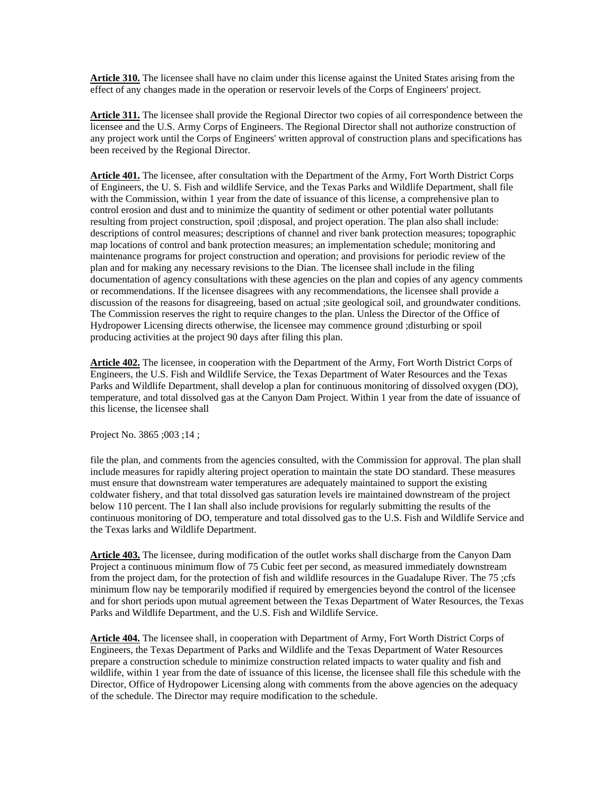**Article 310.** The licensee shall have no claim under this license against the United States arising from the effect of any changes made in the operation or reservoir levels of the Corps of Engineers' project.

**Article 311.** The licensee shall provide the Regional Director two copies of ail correspondence between the licensee and the U.S. Army Corps of Engineers. The Regional Director shall not authorize construction of any project work until the Corps of Engineers' written approval of construction plans and specifications has been received by the Regional Director.

**Article 401.** The licensee, after consultation with the Department of the Army, Fort Worth District Corps of Engineers, the U. S. Fish and wildlife Service, and the Texas Parks and Wildlife Department, shall file with the Commission, within 1 year from the date of issuance of this license, a comprehensive plan to control erosion and dust and to minimize the quantity of sediment or other potential water pollutants resulting from project construction, spoil ;disposal, and project operation. The plan also shall include: descriptions of control measures; descriptions of channel and river bank protection measures; topographic map locations of control and bank protection measures; an implementation schedule; monitoring and maintenance programs for project construction and operation; and provisions for periodic review of the plan and for making any necessary revisions to the Dian. The licensee shall include in the filing documentation of agency consultations with these agencies on the plan and copies of any agency comments or recommendations. If the licensee disagrees with any recommendations, the licensee shall provide a discussion of the reasons for disagreeing, based on actual ;site geological soil, and groundwater conditions. The Commission reserves the right to require changes to the plan. Unless the Director of the Office of Hydropower Licensing directs otherwise, the licensee may commence ground ;disturbing or spoil producing activities at the project 90 days after filing this plan.

**Article 402.** The licensee, in cooperation with the Department of the Army, Fort Worth District Corps of Engineers, the U.S. Fish and Wildlife Service, the Texas Department of Water Resources and the Texas Parks and Wildlife Department, shall develop a plan for continuous monitoring of dissolved oxygen (DO), temperature, and total dissolved gas at the Canyon Dam Project. Within 1 year from the date of issuance of this license, the licensee shall

Project No. 3865 ;003 ;14 ;

file the plan, and comments from the agencies consulted, with the Commission for approval. The plan shall include measures for rapidly altering project operation to maintain the state DO standard. These measures must ensure that downstream water temperatures are adequately maintained to support the existing coldwater fishery, and that total dissolved gas saturation levels ire maintained downstream of the project below 110 percent. The I Ian shall also include provisions for regularly submitting the results of the continuous monitoring of DO, temperature and total dissolved gas to the U.S. Fish and Wildlife Service and the Texas larks and Wildlife Department.

**Article 403.** The licensee, during modification of the outlet works shall discharge from the Canyon Dam Project a continuous minimum flow of 75 Cubic feet per second, as measured immediately downstream from the project dam, for the protection of fish and wildlife resources in the Guadalupe River. The 75 ;cfs minimum flow nay be temporarily modified if required by emergencies beyond the control of the licensee and for short periods upon mutual agreement between the Texas Department of Water Resources, the Texas Parks and Wildlife Department, and the U.S. Fish and Wildlife Service.

**Article 404.** The licensee shall, in cooperation with Department of Army, Fort Worth District Corps of Engineers, the Texas Department of Parks and Wildlife and the Texas Department of Water Resources prepare a construction schedule to minimize construction related impacts to water quality and fish and wildlife, within 1 year from the date of issuance of this license, the licensee shall file this schedule with the Director, Office of Hydropower Licensing along with comments from the above agencies on the adequacy of the schedule. The Director may require modification to the schedule.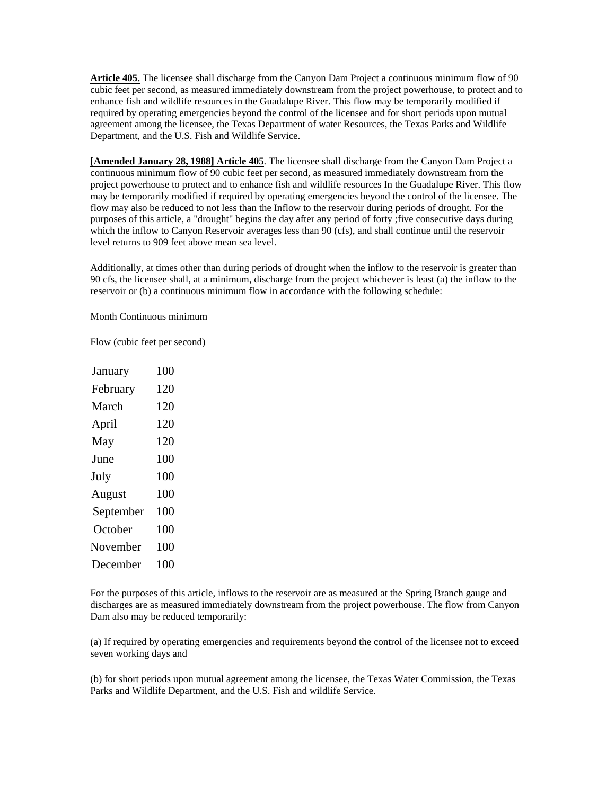**Article 405.** The licensee shall discharge from the Canyon Dam Project a continuous minimum flow of 90 cubic feet per second, as measured immediately downstream from the project powerhouse, to protect and to enhance fish and wildlife resources in the Guadalupe River. This flow may be temporarily modified if required by operating emergencies beyond the control of the licensee and for short periods upon mutual agreement among the licensee, the Texas Department of water Resources, the Texas Parks and Wildlife Department, and the U.S. Fish and Wildlife Service.

**[Amended January 28, 1988] Article 405**. The licensee shall discharge from the Canyon Dam Project a continuous minimum flow of 90 cubic feet per second, as measured immediately downstream from the project powerhouse to protect and to enhance fish and wildlife resources In the Guadalupe River. This flow may be temporarily modified if required by operating emergencies beyond the control of the licensee. The flow may also be reduced to not less than the Inflow to the reservoir during periods of drought. For the purposes of this article, a "drought" begins the day after any period of forty ;five consecutive days during which the inflow to Canyon Reservoir averages less than 90 (cfs), and shall continue until the reservoir level returns to 909 feet above mean sea level.

Additionally, at times other than during periods of drought when the inflow to the reservoir is greater than 90 cfs, the licensee shall, at a minimum, discharge from the project whichever is least (a) the inflow to the reservoir or (b) a continuous minimum flow in accordance with the following schedule:

Month Continuous minimum

Flow (cubic feet per second)

| January   | 100 |
|-----------|-----|
| February  | 120 |
| March     | 120 |
| April     | 120 |
| May       | 120 |
| June      | 100 |
| July      | 100 |
| August    | 100 |
| September | 100 |
| October   | 100 |
| November  | 100 |
| December  | 100 |

For the purposes of this article, inflows to the reservoir are as measured at the Spring Branch gauge and discharges are as measured immediately downstream from the project powerhouse. The flow from Canyon Dam also may be reduced temporarily:

(a) If required by operating emergencies and requirements beyond the control of the licensee not to exceed seven working days and

(b) for short periods upon mutual agreement among the licensee, the Texas Water Commission, the Texas Parks and Wildlife Department, and the U.S. Fish and wildlife Service.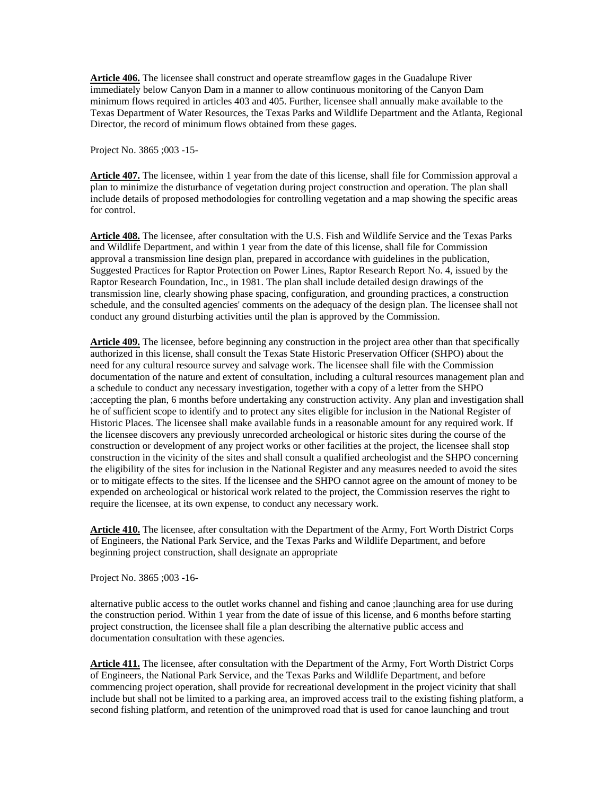**Article 406.** The licensee shall construct and operate streamflow gages in the Guadalupe River immediately below Canyon Dam in a manner to allow continuous monitoring of the Canyon Dam minimum flows required in articles 403 and 405. Further, licensee shall annually make available to the Texas Department of Water Resources, the Texas Parks and Wildlife Department and the Atlanta, Regional Director, the record of minimum flows obtained from these gages.

Project No. 3865 ;003 -15-

**Article 407.** The licensee, within 1 year from the date of this license, shall file for Commission approval a plan to minimize the disturbance of vegetation during project construction and operation. The plan shall include details of proposed methodologies for controlling vegetation and a map showing the specific areas for control.

**Article 408.** The licensee, after consultation with the U.S. Fish and Wildlife Service and the Texas Parks and Wildlife Department, and within 1 year from the date of this license, shall file for Commission approval a transmission line design plan, prepared in accordance with guidelines in the publication, Suggested Practices for Raptor Protection on Power Lines, Raptor Research Report No. 4, issued by the Raptor Research Foundation, Inc., in 1981. The plan shall include detailed design drawings of the transmission line, clearly showing phase spacing, configuration, and grounding practices, a construction schedule, and the consulted agencies' comments on the adequacy of the design plan. The licensee shall not conduct any ground disturbing activities until the plan is approved by the Commission.

**Article 409.** The licensee, before beginning any construction in the project area other than that specifically authorized in this license, shall consult the Texas State Historic Preservation Officer (SHPO) about the need for any cultural resource survey and salvage work. The licensee shall file with the Commission documentation of the nature and extent of consultation, including a cultural resources management plan and a schedule to conduct any necessary investigation, together with a copy of a letter from the SHPO ;accepting the plan, 6 months before undertaking any construction activity. Any plan and investigation shall he of sufficient scope to identify and to protect any sites eligible for inclusion in the National Register of Historic Places. The licensee shall make available funds in a reasonable amount for any required work. If the licensee discovers any previously unrecorded archeological or historic sites during the course of the construction or development of any project works or other facilities at the project, the licensee shall stop construction in the vicinity of the sites and shall consult a qualified archeologist and the SHPO concerning the eligibility of the sites for inclusion in the National Register and any measures needed to avoid the sites or to mitigate effects to the sites. If the licensee and the SHPO cannot agree on the amount of money to be expended on archeological or historical work related to the project, the Commission reserves the right to require the licensee, at its own expense, to conduct any necessary work.

**Article 410.** The licensee, after consultation with the Department of the Army, Fort Worth District Corps of Engineers, the National Park Service, and the Texas Parks and Wildlife Department, and before beginning project construction, shall designate an appropriate

Project No. 3865 ;003 -16-

alternative public access to the outlet works channel and fishing and canoe ;launching area for use during the construction period. Within 1 year from the date of issue of this license, and 6 months before starting project construction, the licensee shall file a plan describing the alternative public access and documentation consultation with these agencies.

**Article 411.** The licensee, after consultation with the Department of the Army, Fort Worth District Corps of Engineers, the National Park Service, and the Texas Parks and Wildlife Department, and before commencing project operation, shall provide for recreational development in the project vicinity that shall include but shall not be limited to a parking area, an improved access trail to the existing fishing platform, a second fishing platform, and retention of the unimproved road that is used for canoe launching and trout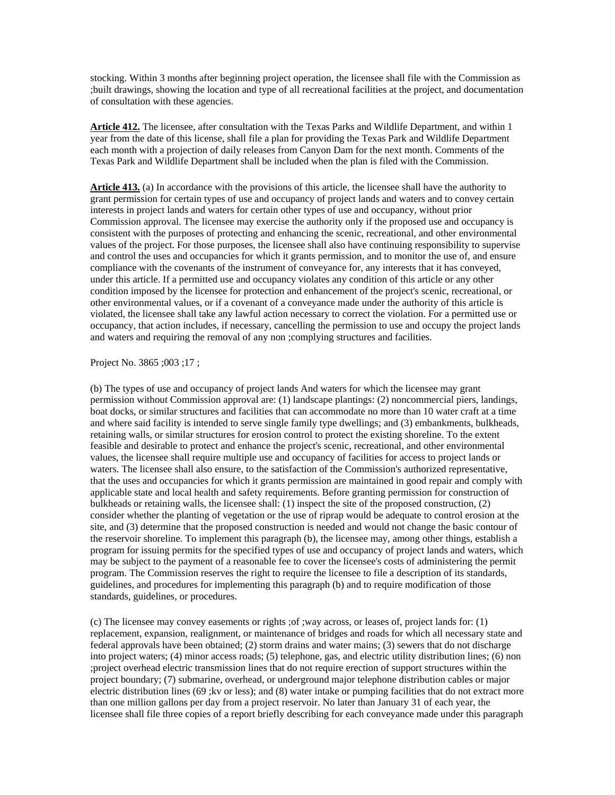stocking. Within 3 months after beginning project operation, the licensee shall file with the Commission as ;built drawings, showing the location and type of all recreational facilities at the project, and documentation of consultation with these agencies.

**Article 412.** The licensee, after consultation with the Texas Parks and Wildlife Department, and within 1 year from the date of this license, shall file a plan for providing the Texas Park and Wildlife Department each month with a projection of daily releases from Canyon Dam for the next month. Comments of the Texas Park and Wildlife Department shall be included when the plan is filed with the Commission.

**Article 413.** (a) In accordance with the provisions of this article, the licensee shall have the authority to grant permission for certain types of use and occupancy of project lands and waters and to convey certain interests in project lands and waters for certain other types of use and occupancy, without prior Commission approval. The licensee may exercise the authority only if the proposed use and occupancy is consistent with the purposes of protecting and enhancing the scenic, recreational, and other environmental values of the project. For those purposes, the licensee shall also have continuing responsibility to supervise and control the uses and occupancies for which it grants permission, and to monitor the use of, and ensure compliance with the covenants of the instrument of conveyance for, any interests that it has conveyed, under this article. If a permitted use and occupancy violates any condition of this article or any other condition imposed by the licensee for protection and enhancement of the project's scenic, recreational, or other environmental values, or if a covenant of a conveyance made under the authority of this article is violated, the licensee shall take any lawful action necessary to correct the violation. For a permitted use or occupancy, that action includes, if necessary, cancelling the permission to use and occupy the project lands and waters and requiring the removal of any non ;complying structures and facilities.

Project No. 3865 ;003 ;17 ;

(b) The types of use and occupancy of project lands And waters for which the licensee may grant permission without Commission approval are: (1) landscape plantings: (2) noncommercial piers, landings, boat docks, or similar structures and facilities that can accommodate no more than 10 water craft at a time and where said facility is intended to serve single family type dwellings; and (3) embankments, bulkheads, retaining walls, or similar structures for erosion control to protect the existing shoreline. To the extent feasible and desirable to protect and enhance the project's scenic, recreational, and other environmental values, the licensee shall require multiple use and occupancy of facilities for access to project lands or waters. The licensee shall also ensure, to the satisfaction of the Commission's authorized representative, that the uses and occupancies for which it grants permission are maintained in good repair and comply with applicable state and local health and safety requirements. Before granting permission for construction of bulkheads or retaining walls, the licensee shall: (1) inspect the site of the proposed construction, (2) consider whether the planting of vegetation or the use of riprap would be adequate to control erosion at the site, and (3) determine that the proposed construction is needed and would not change the basic contour of the reservoir shoreline. To implement this paragraph (b), the licensee may, among other things, establish a program for issuing permits for the specified types of use and occupancy of project lands and waters, which may be subject to the payment of a reasonable fee to cover the licensee's costs of administering the permit program. The Commission reserves the right to require the licensee to file a description of its standards, guidelines, and procedures for implementing this paragraph (b) and to require modification of those standards, guidelines, or procedures.

(c) The licensee may convey easements or rights ;of ;way across, or leases of, project lands for: (1) replacement, expansion, realignment, or maintenance of bridges and roads for which all necessary state and federal approvals have been obtained; (2) storm drains and water mains; (3) sewers that do not discharge into project waters; (4) minor access roads; (5) telephone, gas, and electric utility distribution lines; (6) non ;project overhead electric transmission lines that do not require erection of support structures within the project boundary; (7) submarine, overhead, or underground major telephone distribution cables or major electric distribution lines (69 ;kv or less); and (8) water intake or pumping facilities that do not extract more than one million gallons per day from a project reservoir. No later than January 31 of each year, the licensee shall file three copies of a report briefly describing for each conveyance made under this paragraph